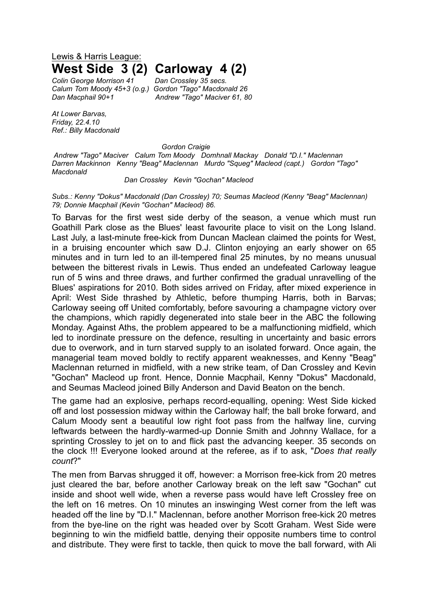## Lewis & Harris League: **West Side 3 (2) Carloway 4 (2)**

*Colin George Morrison 41 Dan Crossley 35 secs. Calum Tom Moody 45+3 (o.g.) Gordon "Tago" Macdonald 26 Dan Macphail 90+1 Andrew "Tago" Maciver 61, 80*

*At Lower Barvas, Friday, 22.4.10 Ref.: Billy Macdonald*

*Gordon Craigie*

*Andrew "Tago" Maciver Calum Tom Moody Domhnall Mackay Donald "D.I." Maclennan Darren Mackinnon Kenny "Beag" Maclennan Murdo "Squeg" Macleod (capt.) Gordon "Tago" Macdonald*

## *Dan Crossley Kevin "Gochan" Macleod*

*Subs.: Kenny "Dokus" Macdonald (Dan Crossley) 70; Seumas Macleod (Kenny "Beag" Maclennan) 79; Donnie Macphail (Kevin "Gochan" Macleod) 86.*

To Barvas for the first west side derby of the season, a venue which must run Goathill Park close as the Blues' least favourite place to visit on the Long Island. Last July, a last-minute free-kick from Duncan Maclean claimed the points for West, in a bruising encounter which saw D.J. Clinton enjoying an early shower on 65 minutes and in turn led to an ill-tempered final 25 minutes, by no means unusual between the bitterest rivals in Lewis. Thus ended an undefeated Carloway league run of 5 wins and three draws, and further confirmed the gradual unravelling of the Blues' aspirations for 2010. Both sides arrived on Friday, after mixed experience in April: West Side thrashed by Athletic, before thumping Harris, both in Barvas; Carloway seeing off United comfortably, before savouring a champagne victory over the champions, which rapidly degenerated into stale beer in the ABC the following Monday. Against Aths, the problem appeared to be a malfunctioning midfield, which led to inordinate pressure on the defence, resulting in uncertainty and basic errors due to overwork, and in turn starved supply to an isolated forward. Once again, the managerial team moved boldly to rectify apparent weaknesses, and Kenny "Beag" Maclennan returned in midfield, with a new strike team, of Dan Crossley and Kevin "Gochan" Macleod up front. Hence, Donnie Macphail, Kenny "Dokus" Macdonald, and Seumas Macleod joined Billy Anderson and David Beaton on the bench.

The game had an explosive, perhaps record-equalling, opening: West Side kicked off and lost possession midway within the Carloway half; the ball broke forward, and Calum Moody sent a beautiful low right foot pass from the halfway line, curving leftwards between the hardly-warmed-up Donnie Smith and Johnny Wallace, for a sprinting Crossley to jet on to and flick past the advancing keeper. 35 seconds on the clock !!! Everyone looked around at the referee, as if to ask, "*Does that really count*?"

The men from Barvas shrugged it off, however: a Morrison free-kick from 20 metres just cleared the bar, before another Carloway break on the left saw "Gochan" cut inside and shoot well wide, when a reverse pass would have left Crossley free on the left on 16 metres. On 10 minutes an inswinging West corner from the left was headed off the line by "D.I." Maclennan, before another Morrison free-kick 20 metres from the bye-line on the right was headed over by Scott Graham. West Side were beginning to win the midfield battle, denying their opposite numbers time to control and distribute. They were first to tackle, then quick to move the ball forward, with Ali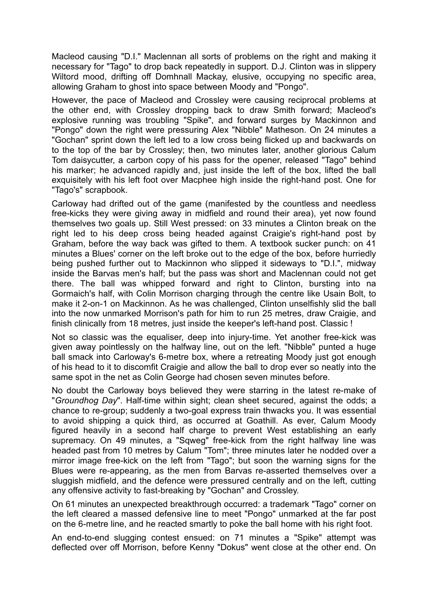Macleod causing "D.I." Maclennan all sorts of problems on the right and making it necessary for "Tago" to drop back repeatedly in support. D.J. Clinton was in slippery Wiltord mood, drifting off Domhnall Mackay, elusive, occupying no specific area, allowing Graham to ghost into space between Moody and "Pongo".

However, the pace of Macleod and Crossley were causing reciprocal problems at the other end, with Crossley dropping back to draw Smith forward; Macleod's explosive running was troubling "Spike", and forward surges by Mackinnon and "Pongo" down the right were pressuring Alex "Nibble" Matheson. On 24 minutes a "Gochan" sprint down the left led to a low cross being flicked up and backwards on to the top of the bar by Crossley; then, two minutes later, another glorious Calum Tom daisycutter, a carbon copy of his pass for the opener, released "Tago" behind his marker; he advanced rapidly and, just inside the left of the box, lifted the ball exquisitely with his left foot over Macphee high inside the right-hand post. One for "Tago's" scrapbook.

Carloway had drifted out of the game (manifested by the countless and needless free-kicks they were giving away in midfield and round their area), yet now found themselves two goals up. Still West pressed: on 33 minutes a Clinton break on the right led to his deep cross being headed against Craigie's right-hand post by Graham, before the way back was gifted to them. A textbook sucker punch: on 41 minutes a Blues' corner on the left broke out to the edge of the box, before hurriedly being pushed further out to Mackinnon who slipped it sideways to "D.I.", midway inside the Barvas men's half; but the pass was short and Maclennan could not get there. The ball was whipped forward and right to Clinton, bursting into na Gormaich's half, with Colin Morrison charging through the centre like Usain Bolt, to make it 2-on-1 on Mackinnon. As he was challenged, Clinton unselfishly slid the ball into the now unmarked Morrison's path for him to run 25 metres, draw Craigie, and finish clinically from 18 metres, just inside the keeper's left-hand post. Classic !

Not so classic was the equaliser, deep into injury-time. Yet another free-kick was given away pointlessly on the halfway line, out on the left. "Nibble" punted a huge ball smack into Carloway's 6-metre box, where a retreating Moody just got enough of his head to it to discomfit Craigie and allow the ball to drop ever so neatly into the same spot in the net as Colin George had chosen seven minutes before.

No doubt the Carloway boys believed they were starring in the latest re-make of "*Groundhog Day*". Half-time within sight; clean sheet secured, against the odds; a chance to re-group; suddenly a two-goal express train thwacks you. It was essential to avoid shipping a quick third, as occurred at Goathill. As ever, Calum Moody figured heavily in a second half charge to prevent West establishing an early supremacy. On 49 minutes, a "Sqweg" free-kick from the right halfway line was headed past from 10 metres by Calum "Tom"; three minutes later he nodded over a mirror image free-kick on the left from "Tago"; but soon the warning signs for the Blues were re-appearing, as the men from Barvas re-asserted themselves over a sluggish midfield, and the defence were pressured centrally and on the left, cutting any offensive activity to fast-breaking by "Gochan" and Crossley.

On 61 minutes an unexpected breakthrough occurred: a trademark "Tago" corner on the left cleared a massed defensive line to meet "Pongo" unmarked at the far post on the 6-metre line, and he reacted smartly to poke the ball home with his right foot.

An end-to-end slugging contest ensued: on 71 minutes a "Spike" attempt was deflected over off Morrison, before Kenny "Dokus" went close at the other end. On